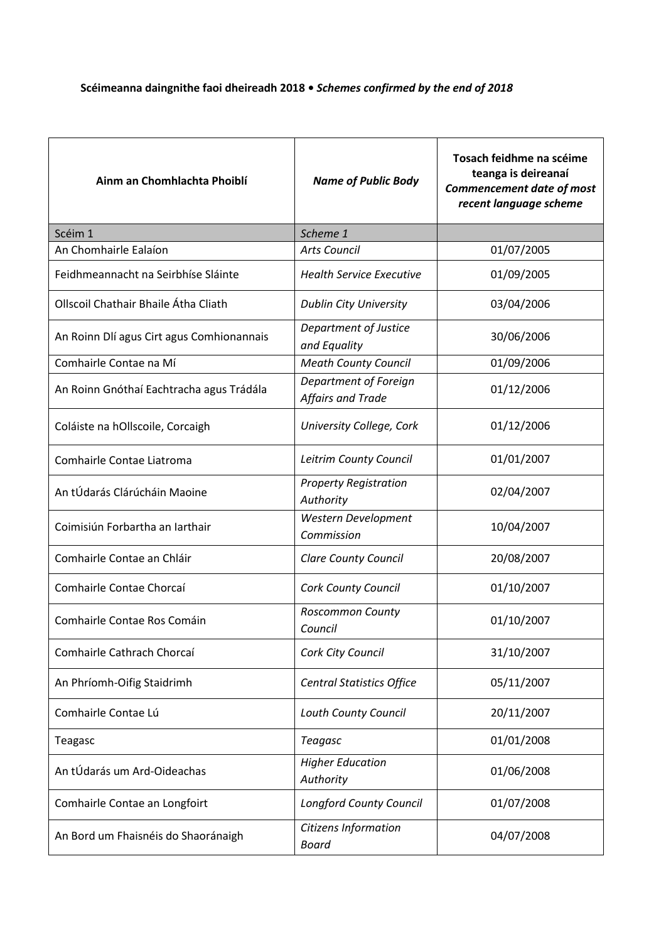## **Scéimeanna daingnithe faoi dheireadh 2018 •** *Schemes confirmed by the end of 2018*

| Ainm an Chomhlachta Phoiblí               | <b>Name of Public Body</b>                        | Tosach feidhme na scéime<br>teanga is deireanaí<br><b>Commencement date of most</b><br>recent language scheme |
|-------------------------------------------|---------------------------------------------------|---------------------------------------------------------------------------------------------------------------|
| Scéim 1                                   | Scheme 1                                          |                                                                                                               |
| An Chomhairle Ealaíon                     | <b>Arts Council</b>                               | 01/07/2005                                                                                                    |
| Feidhmeannacht na Seirbhíse Sláinte       | <b>Health Service Executive</b>                   | 01/09/2005                                                                                                    |
| Ollscoil Chathair Bhaile Átha Cliath      | <b>Dublin City University</b>                     | 03/04/2006                                                                                                    |
| An Roinn Dlí agus Cirt agus Comhionannais | Department of Justice<br>and Equality             | 30/06/2006                                                                                                    |
| Comhairle Contae na Mí                    | <b>Meath County Council</b>                       | 01/09/2006                                                                                                    |
| An Roinn Gnóthaí Eachtracha agus Trádála  | Department of Foreign<br><b>Affairs and Trade</b> | 01/12/2006                                                                                                    |
| Coláiste na hOllscoile, Corcaigh          | University College, Cork                          | 01/12/2006                                                                                                    |
| Comhairle Contae Liatroma                 | Leitrim County Council                            | 01/01/2007                                                                                                    |
| An tÚdarás Clárúcháin Maoine              | <b>Property Registration</b><br>Authority         | 02/04/2007                                                                                                    |
| Coimisiún Forbartha an Iarthair           | Western Development<br>Commission                 | 10/04/2007                                                                                                    |
| Comhairle Contae an Chláir                | <b>Clare County Council</b>                       | 20/08/2007                                                                                                    |
| Comhairle Contae Chorcaí                  | <b>Cork County Council</b>                        | 01/10/2007                                                                                                    |
| Comhairle Contae Ros Comáin               | Roscommon County<br>Council                       | 01/10/2007                                                                                                    |
| Comhairle Cathrach Chorcaí                | Cork City Council                                 | 31/10/2007                                                                                                    |
| An Phríomh-Oifig Staidrimh                | <b>Central Statistics Office</b>                  | 05/11/2007                                                                                                    |
| Comhairle Contae Lú                       | Louth County Council                              | 20/11/2007                                                                                                    |
| Teagasc                                   | <b>Teagasc</b>                                    | 01/01/2008                                                                                                    |
| An tÚdarás um Ard-Oideachas               | <b>Higher Education</b><br>Authority              | 01/06/2008                                                                                                    |
| Comhairle Contae an Longfoirt             | <b>Longford County Council</b>                    | 01/07/2008                                                                                                    |
| An Bord um Fhaisnéis do Shaoránaigh       | Citizens Information<br><b>Board</b>              | 04/07/2008                                                                                                    |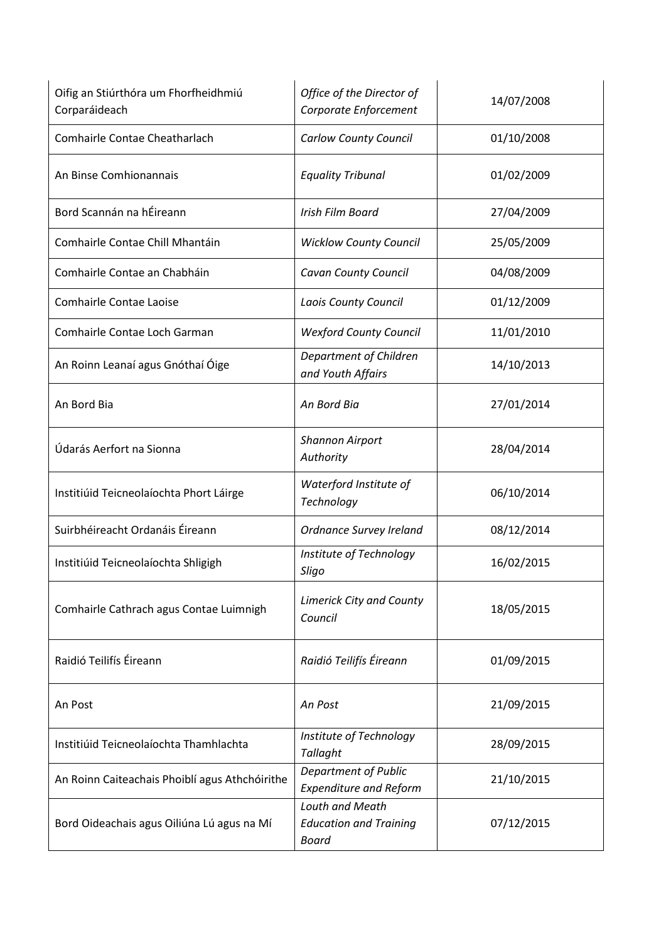| Oifig an Stiúrthóra um Fhorfheidhmiú<br>Corparáideach | Office of the Director of<br>Corporate Enforcement               | 14/07/2008 |
|-------------------------------------------------------|------------------------------------------------------------------|------------|
| Comhairle Contae Cheatharlach                         | <b>Carlow County Council</b>                                     | 01/10/2008 |
| An Binse Comhionannais                                | <b>Equality Tribunal</b>                                         | 01/02/2009 |
| Bord Scannán na hÉireann                              | Irish Film Board                                                 | 27/04/2009 |
| Comhairle Contae Chill Mhantáin                       | <b>Wicklow County Council</b>                                    | 25/05/2009 |
| Comhairle Contae an Chabháin                          | Cavan County Council                                             | 04/08/2009 |
| <b>Comhairle Contae Laoise</b>                        | Laois County Council                                             | 01/12/2009 |
| Comhairle Contae Loch Garman                          | <b>Wexford County Council</b>                                    | 11/01/2010 |
| An Roinn Leanaí agus Gnóthaí Óige                     | Department of Children<br>and Youth Affairs                      | 14/10/2013 |
| An Bord Bia                                           | An Bord Bia                                                      | 27/01/2014 |
| Údarás Aerfort na Sionna                              | <b>Shannon Airport</b><br>Authority                              | 28/04/2014 |
| Institiúid Teicneolaíochta Phort Láirge               | Waterford Institute of<br>Technology                             | 06/10/2014 |
| Suirbhéireacht Ordanáis Éireann                       | Ordnance Survey Ireland                                          | 08/12/2014 |
| Institiúid Teicneolaíochta Shligigh                   | Institute of Technology<br>Sligo                                 | 16/02/2015 |
| Comhairle Cathrach agus Contae Luimnigh               | <b>Limerick City and County</b><br>Council                       | 18/05/2015 |
| Raidió Teilifís Éireann                               | Raidió Teilifís Éireann                                          | 01/09/2015 |
| An Post                                               | An Post                                                          | 21/09/2015 |
| Institiúid Teicneolaíochta Thamhlachta                | Institute of Technology<br><b>Tallaght</b>                       | 28/09/2015 |
| An Roinn Caiteachais Phoiblí agus Athchóirithe        | <b>Department of Public</b><br><b>Expenditure and Reform</b>     | 21/10/2015 |
| Bord Oideachais agus Oiliúna Lú agus na Mí            | Louth and Meath<br><b>Education and Training</b><br><b>Board</b> | 07/12/2015 |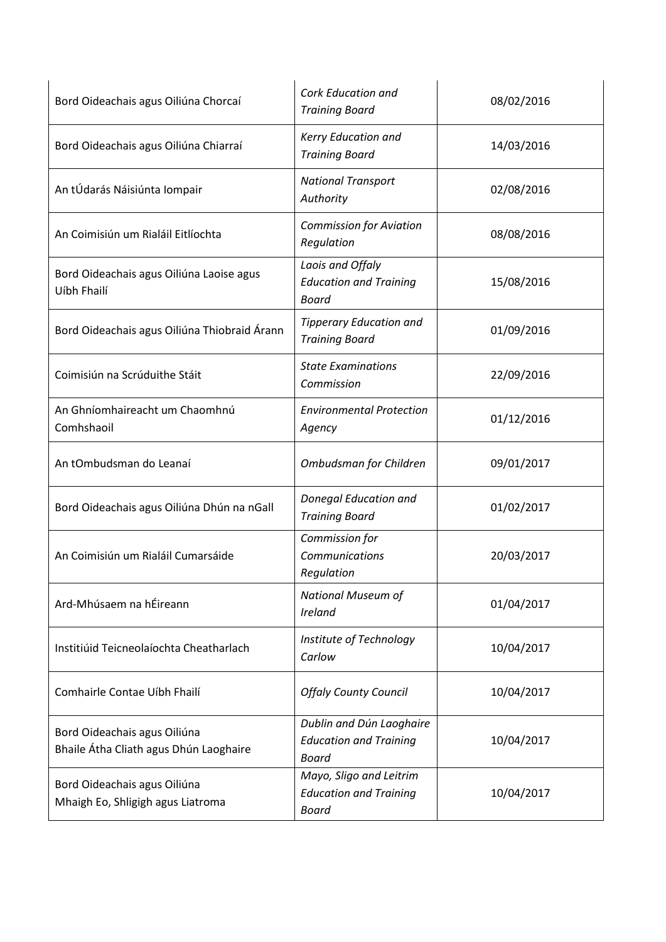| Bord Oideachais agus Oiliúna Chorcaí                                   | <b>Cork Education and</b><br><b>Training Board</b>                       | 08/02/2016 |
|------------------------------------------------------------------------|--------------------------------------------------------------------------|------------|
| Bord Oideachais agus Oiliúna Chiarraí                                  | Kerry Education and<br><b>Training Board</b>                             | 14/03/2016 |
| An tÚdarás Náisiúnta Iompair                                           | <b>National Transport</b><br>Authority                                   | 02/08/2016 |
| An Coimisiún um Rialáil Eitlíochta                                     | <b>Commission for Aviation</b><br>Regulation                             | 08/08/2016 |
| Bord Oideachais agus Oiliúna Laoise agus<br>Uíbh Fhailí                | Laois and Offaly<br><b>Education and Training</b><br>Board               | 15/08/2016 |
| Bord Oideachais agus Oiliúna Thiobraid Árann                           | <b>Tipperary Education and</b><br><b>Training Board</b>                  | 01/09/2016 |
| Coimisiún na Scrúduithe Stáit                                          | <b>State Examinations</b><br>Commission                                  | 22/09/2016 |
| An Ghníomhaireacht um Chaomhnú<br>Comhshaoil                           | <b>Environmental Protection</b><br>Agency                                | 01/12/2016 |
| An tOmbudsman do Leanaí                                                | Ombudsman for Children                                                   | 09/01/2017 |
| Bord Oideachais agus Oiliúna Dhún na nGall                             | Donegal Education and<br><b>Training Board</b>                           | 01/02/2017 |
| An Coimisiún um Rialáil Cumarsáide                                     | Commission for<br>Communications<br>Regulation                           | 20/03/2017 |
| Ard-Mhúsaem na hÉireann                                                | <b>National Museum of</b><br><b>Ireland</b>                              | 01/04/2017 |
| Institiúid Teicneolaíochta Cheatharlach                                | Institute of Technology<br>Carlow                                        | 10/04/2017 |
| Comhairle Contae Uíbh Fhailí                                           | <b>Offaly County Council</b>                                             | 10/04/2017 |
| Bord Oideachais agus Oiliúna<br>Bhaile Átha Cliath agus Dhún Laoghaire | Dublin and Dún Laoghaire<br><b>Education and Training</b><br>Board       | 10/04/2017 |
| Bord Oideachais agus Oiliúna<br>Mhaigh Eo, Shligigh agus Liatroma      | Mayo, Sligo and Leitrim<br><b>Education and Training</b><br><b>Board</b> | 10/04/2017 |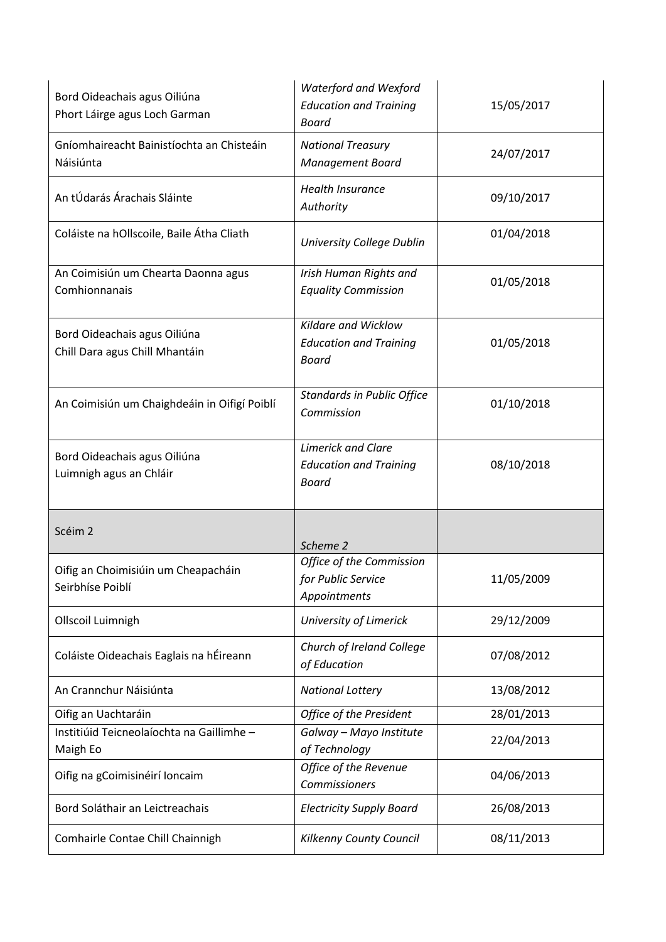| Bord Oideachais agus Oiliúna<br>Phort Láirge agus Loch Garman  | <b>Waterford and Wexford</b><br><b>Education and Training</b><br><b>Board</b> | 15/05/2017 |
|----------------------------------------------------------------|-------------------------------------------------------------------------------|------------|
| Gníomhaireacht Bainistíochta an Chisteáin<br>Náisiúnta         | <b>National Treasury</b><br><b>Management Board</b>                           | 24/07/2017 |
| An tÚdarás Árachais Sláinte                                    | <b>Health Insurance</b><br>Authority                                          | 09/10/2017 |
| Coláiste na hOllscoile, Baile Átha Cliath                      | University College Dublin                                                     | 01/04/2018 |
| An Coimisiún um Chearta Daonna agus<br>Comhionnanais           | Irish Human Rights and<br><b>Equality Commission</b>                          | 01/05/2018 |
| Bord Oideachais agus Oiliúna<br>Chill Dara agus Chill Mhantáin | Kildare and Wicklow<br><b>Education and Training</b><br><b>Board</b>          | 01/05/2018 |
| An Coimisiún um Chaighdeáin in Oifigí Poiblí                   | <b>Standards in Public Office</b><br>Commission                               | 01/10/2018 |
| Bord Oideachais agus Oiliúna<br>Luimnigh agus an Chláir        | <b>Limerick and Clare</b><br><b>Education and Training</b><br><b>Board</b>    | 08/10/2018 |
| Scéim 2                                                        | Scheme 2                                                                      |            |
| Oifig an Choimisiúin um Cheapacháin<br>Seirbhíse Poiblí        | Office of the Commission<br>for Public Service<br>Appointments                | 11/05/2009 |
| Ollscoil Luimnigh                                              | University of Limerick                                                        | 29/12/2009 |
| Coláiste Oideachais Eaglais na hÉireann                        | Church of Ireland College<br>of Education                                     | 07/08/2012 |
| An Crannchur Náisiúnta                                         | <b>National Lottery</b>                                                       | 13/08/2012 |
| Oifig an Uachtaráin                                            | Office of the President                                                       | 28/01/2013 |
| Institiúid Teicneolaíochta na Gaillimhe -<br>Maigh Eo          | Galway - Mayo Institute<br>of Technology                                      | 22/04/2013 |
| Oifig na gCoimisinéirí Ioncaim                                 | Office of the Revenue<br>Commissioners                                        | 04/06/2013 |
| Bord Soláthair an Leictreachais                                | <b>Electricity Supply Board</b>                                               | 26/08/2013 |
| Comhairle Contae Chill Chainnigh                               | Kilkenny County Council                                                       | 08/11/2013 |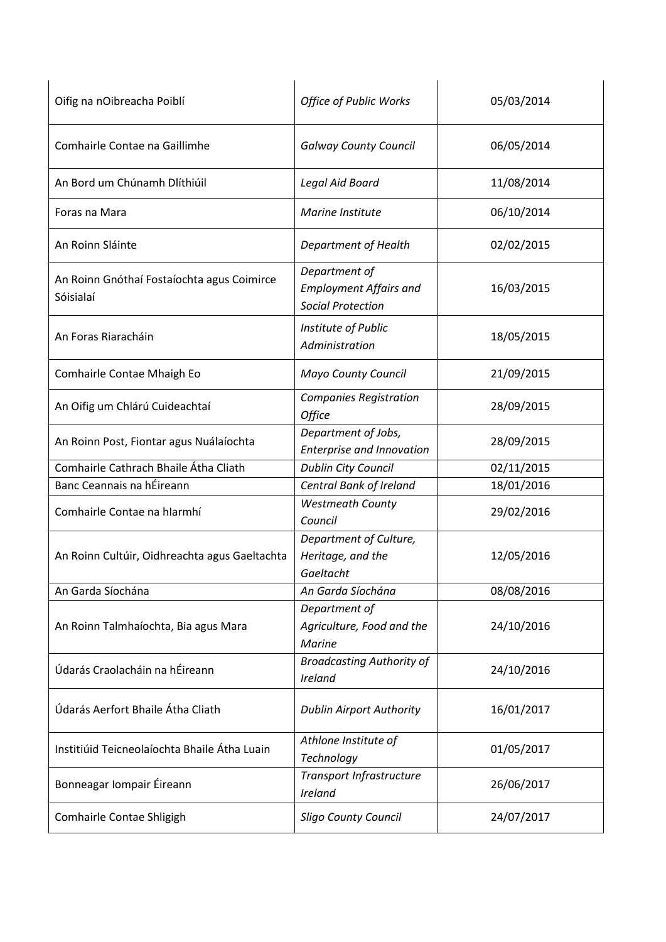| Oifig na nOibreacha Poiblí                              | <b>Office of Public Works</b>                                              | 05/03/2014 |
|---------------------------------------------------------|----------------------------------------------------------------------------|------------|
| Comhairle Contae na Gaillimhe                           | <b>Galway County Council</b>                                               | 06/05/2014 |
| An Bord um Chúnamh Dlíthiúil                            | Legal Aid Board                                                            | 11/08/2014 |
| Foras na Mara                                           | Marine Institute                                                           | 06/10/2014 |
| An Roinn Sláinte                                        | Department of Health                                                       | 02/02/2015 |
| An Roinn Gnóthaí Fostaíochta agus Coimirce<br>Sóisialaí | Department of<br><b>Employment Affairs and</b><br><b>Social Protection</b> | 16/03/2015 |
| An Foras Riaracháin                                     | Institute of Public<br>Administration                                      | 18/05/2015 |
| Comhairle Contae Mhaigh Eo                              | Mayo County Council                                                        | 21/09/2015 |
| An Oifig um Chlárú Cuideachtaí                          | <b>Companies Registration</b><br><b>Office</b>                             | 28/09/2015 |
| An Roinn Post, Fiontar agus Nuálaíochta                 | Department of Jobs,<br><b>Enterprise and Innovation</b>                    | 28/09/2015 |
| Comhairle Cathrach Bhaile Átha Cliath                   | Dublin City Council                                                        | 02/11/2015 |
| Banc Ceannais na hÉireann                               | Central Bank of Ireland                                                    | 18/01/2016 |
| Comhairle Contae na hIarmhí                             | <b>Westmeath County</b><br>Council                                         | 29/02/2016 |
| An Roinn Cultúir, Oidhreachta agus Gaeltachta           | Department of Culture,<br>Heritage, and the<br>Gaeltacht                   | 12/05/2016 |
| An Garda Síochána                                       | An Garda Síochána                                                          | 08/08/2016 |
| An Roinn Talmhaíochta, Bia agus Mara                    | Department of<br>Agriculture, Food and the<br><b>Marine</b>                | 24/10/2016 |
| Údarás Craolacháin na hÉireann                          | <b>Broadcasting Authority of</b><br>Ireland                                | 24/10/2016 |
| Údarás Aerfort Bhaile Átha Cliath                       | <b>Dublin Airport Authority</b>                                            | 16/01/2017 |
| Institiúid Teicneolaíochta Bhaile Átha Luain            | Athlone Institute of<br>Technology                                         | 01/05/2017 |
| Bonneagar Iompair Éireann                               | Transport Infrastructure<br>Ireland                                        | 26/06/2017 |
| Comhairle Contae Shligigh                               | <b>Sligo County Council</b>                                                | 24/07/2017 |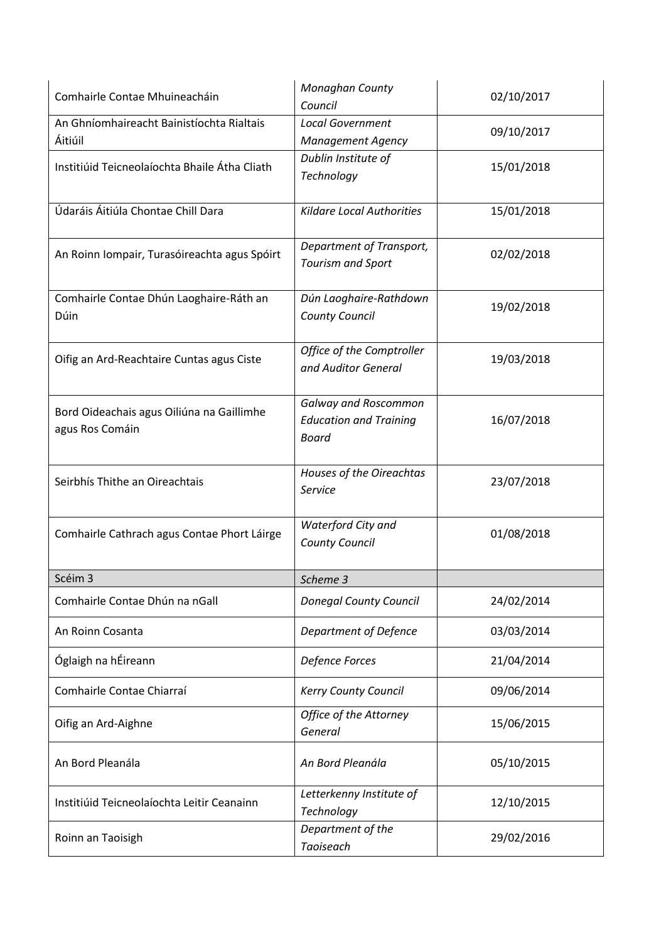| Comhairle Contae Mhuineacháin                                | Monaghan County<br>Council                                                   | 02/10/2017 |
|--------------------------------------------------------------|------------------------------------------------------------------------------|------------|
| An Ghníomhaireacht Bainistíochta Rialtais<br>Áitiúil         | <b>Local Government</b><br><b>Management Agency</b>                          | 09/10/2017 |
| Institiúid Teicneolaíochta Bhaile Átha Cliath                | Dublin Institute of<br>Technology                                            | 15/01/2018 |
| Údaráis Áitiúla Chontae Chill Dara                           | <b>Kildare Local Authorities</b>                                             | 15/01/2018 |
| An Roinn Iompair, Turasóireachta agus Spóirt                 | Department of Transport,<br><b>Tourism and Sport</b>                         | 02/02/2018 |
| Comhairle Contae Dhún Laoghaire-Ráth an<br>Dúin              | Dún Laoghaire-Rathdown<br><b>County Council</b>                              | 19/02/2018 |
| Oifig an Ard-Reachtaire Cuntas agus Ciste                    | Office of the Comptroller<br>and Auditor General                             | 19/03/2018 |
| Bord Oideachais agus Oiliúna na Gaillimhe<br>agus Ros Comáin | <b>Galway and Roscommon</b><br><b>Education and Training</b><br><b>Board</b> | 16/07/2018 |
| Seirbhís Thithe an Oireachtais                               | Houses of the Oireachtas<br>Service                                          | 23/07/2018 |
| Comhairle Cathrach agus Contae Phort Láirge                  | Waterford City and<br><b>County Council</b>                                  | 01/08/2018 |
| Scéim 3                                                      | Scheme 3                                                                     |            |
| Comhairle Contae Dhún na nGall                               | <b>Donegal County Council</b>                                                | 24/02/2014 |
| An Roinn Cosanta                                             | Department of Defence                                                        | 03/03/2014 |
| Óglaigh na hÉireann                                          | <b>Defence Forces</b>                                                        | 21/04/2014 |
| Comhairle Contae Chiarraí                                    | Kerry County Council                                                         | 09/06/2014 |
| Oifig an Ard-Aighne                                          | Office of the Attorney<br>General                                            | 15/06/2015 |
| An Bord Pleanála                                             | An Bord Pleanála                                                             | 05/10/2015 |
| Institiúid Teicneolaíochta Leitir Ceanainn                   | Letterkenny Institute of<br>Technology                                       | 12/10/2015 |
| Roinn an Taoisigh                                            | Department of the<br>Taoiseach                                               | 29/02/2016 |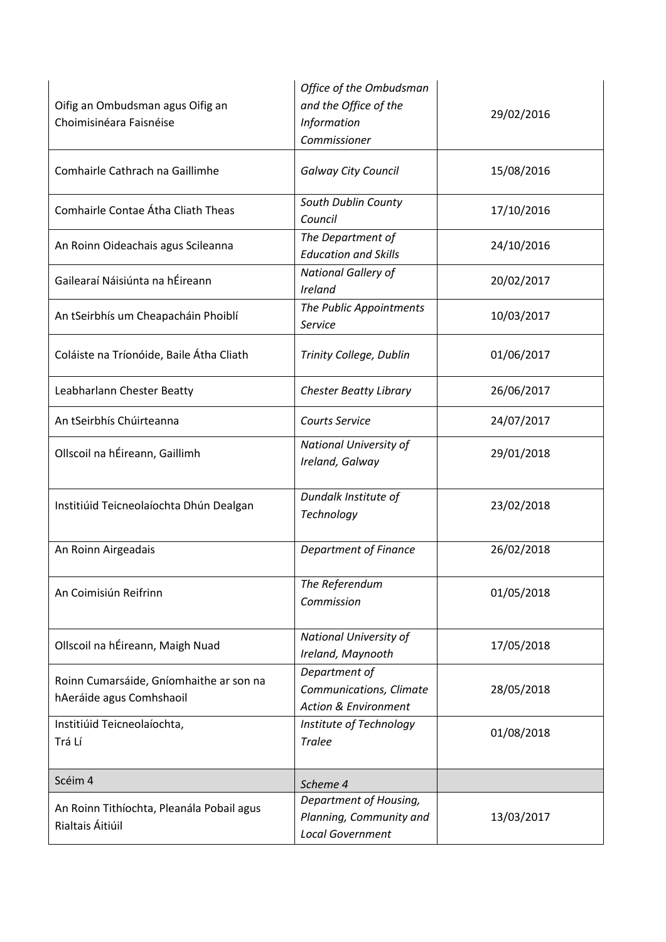| Oifig an Ombudsman agus Oifig an<br>Choimisinéara Faisnéise         | Office of the Ombudsman<br>and the Office of the<br>Information<br>Commissioner | 29/02/2016 |
|---------------------------------------------------------------------|---------------------------------------------------------------------------------|------------|
| Comhairle Cathrach na Gaillimhe                                     | <b>Galway City Council</b>                                                      | 15/08/2016 |
| Comhairle Contae Átha Cliath Theas                                  | South Dublin County<br>Council                                                  | 17/10/2016 |
| An Roinn Oideachais agus Scileanna                                  | The Department of<br><b>Education and Skills</b>                                | 24/10/2016 |
| Gailearaí Náisiúnta na hÉireann                                     | National Gallery of<br>Ireland                                                  | 20/02/2017 |
| An tSeirbhís um Cheapacháin Phoiblí                                 | The Public Appointments<br>Service                                              | 10/03/2017 |
| Coláiste na Tríonóide, Baile Átha Cliath                            | Trinity College, Dublin                                                         | 01/06/2017 |
| Leabharlann Chester Beatty                                          | <b>Chester Beatty Library</b>                                                   | 26/06/2017 |
| An tSeirbhís Chúirteanna                                            | <b>Courts Service</b>                                                           | 24/07/2017 |
| Ollscoil na hÉireann, Gaillimh                                      | National University of<br>Ireland, Galway                                       | 29/01/2018 |
| Institiúid Teicneolaíochta Dhún Dealgan                             | Dundalk Institute of<br>Technology                                              | 23/02/2018 |
| An Roinn Airgeadais                                                 | <b>Department of Finance</b>                                                    | 26/02/2018 |
| An Coimisiún Reifrinn                                               | The Referendum<br>Commission                                                    | 01/05/2018 |
| Ollscoil na hÉireann, Maigh Nuad                                    | National University of<br>Ireland, Maynooth                                     | 17/05/2018 |
| Roinn Cumarsáide, Gníomhaithe ar son na<br>hAeráide agus Comhshaoil | Department of<br>Communications, Climate<br><b>Action &amp; Environment</b>     | 28/05/2018 |
| Institiúid Teicneolaíochta,<br>Trá Lí                               | Institute of Technology<br><b>Tralee</b>                                        | 01/08/2018 |
| Scéim 4                                                             | Scheme 4                                                                        |            |
| An Roinn Tithíochta, Pleanála Pobail agus<br>Rialtais Áitiúil       | Department of Housing,<br>Planning, Community and<br><b>Local Government</b>    | 13/03/2017 |